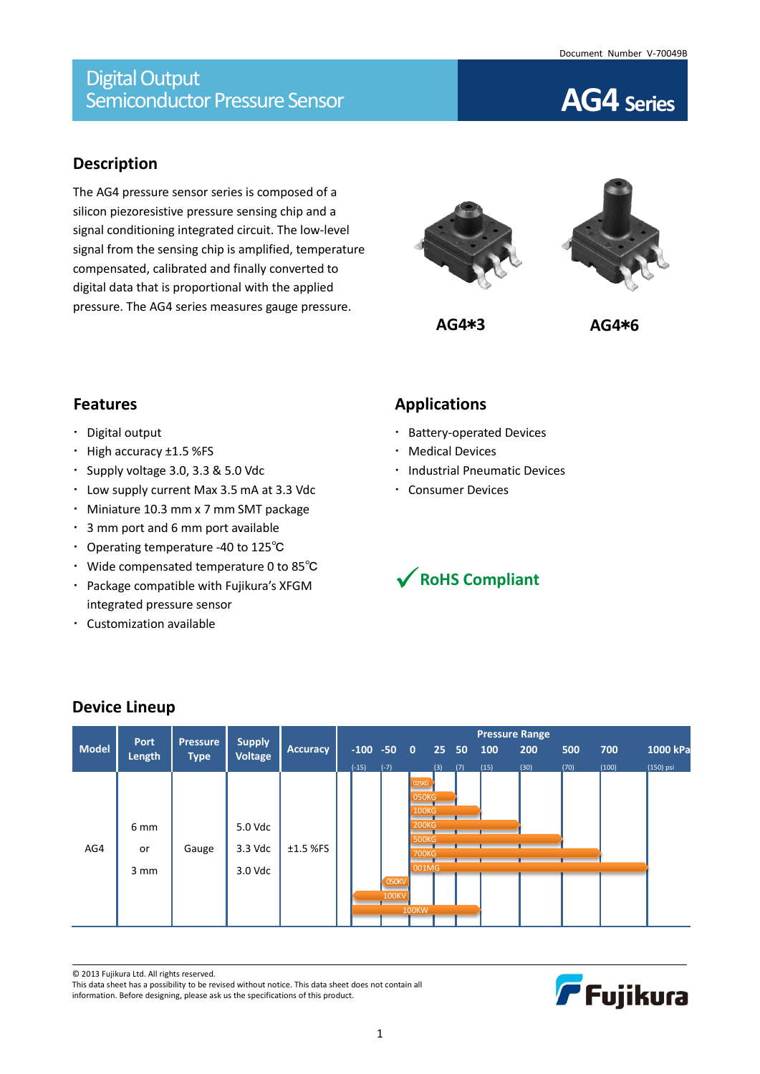## **Description**

The AG4 pressure sensor series is composed of a silicon piezoresistive pressure sensing chip and a signal conditioning integrated circuit. The low-level signal from the sensing chip is amplified, temperature compensated, calibrated and finally converted to digital data that is proportional with the applied pressure. The AG4 series measures gauge pressure.





# **Features**

- Digital output
- High accuracy ±1.5 %FS
- Supply voltage 3.0, 3.3 & 5.0 Vdc
- Low supply current Max 3.5 mA at 3.3 Vdc
- Miniature 10.3 mm x 7 mm SMT package
- 3 mm port and 6 mm port available
- Operating temperature -40 to 125℃
- Wide compensated temperature 0 to 85℃
- Package compatible with Fujikura's XFGM integrated pressure sensor
- Customization available

# **Applications**

- Battery-operated Devices
- Medical Devices
- **· Industrial Pneumatic Devices**
- Consumer Devices



|              | Port   | <b>Pressure</b> | <b>Supply</b>  |                 |         |  |                 |                   |       |     |      | <b>Pressure Range</b> |      |       |           |
|--------------|--------|-----------------|----------------|-----------------|---------|--|-----------------|-------------------|-------|-----|------|-----------------------|------|-------|-----------|
| <b>Model</b> | Length | <b>Type</b>     | <b>Voltage</b> | <b>Accuracy</b> |         |  | $-100 - 50 = 0$ |                   | 25 50 |     | 100  | 200                   | 500  | 700   | 1000 kPa  |
|              |        |                 |                |                 | $(-15)$ |  | $(-7)$          |                   | (3)   | (7) | (15) | (30)                  | (70) | (100) | (150) psi |
|              |        |                 |                |                 |         |  |                 | 025 <sub>KG</sub> |       |     |      |                       |      |       |           |
|              |        |                 |                |                 |         |  |                 | 050KG             |       |     |      |                       |      |       |           |
| AG4          |        |                 |                |                 |         |  |                 | <b>100KG</b>      |       |     |      |                       |      |       |           |
|              | 6 mm   |                 | 5.0 Vdc        |                 |         |  |                 | <b>200KG</b>      |       |     |      |                       |      |       |           |
|              |        |                 |                |                 |         |  |                 | <b>500KG</b>      |       |     |      |                       |      |       |           |
|              | or     | Gauge           | 3.3 Vdc        | $±1.5$ %FS      |         |  |                 | <b>700KG</b>      |       |     |      |                       |      |       |           |
|              | 3 mm   |                 | 3.0 Vdc        |                 |         |  |                 | $-001M$ G         |       |     |      |                       |      |       |           |
|              |        |                 |                |                 |         |  | <b>050KV</b>    |                   |       |     |      |                       |      |       |           |
|              |        |                 |                |                 |         |  | <b>100KV</b>    |                   |       |     |      |                       |      |       |           |
|              |        |                 |                |                 |         |  |                 | <b>100KW</b>      |       |     |      |                       |      |       |           |
|              |        |                 |                |                 |         |  |                 |                   |       |     |      |                       |      |       |           |

# **Device Lineup**

© 2013 Fujikura Ltd. All rights reserved.

This data sheet has a possibility to be revised without notice. This data sheet does not contain all information. Before designing, please ask us the specifications of this product.

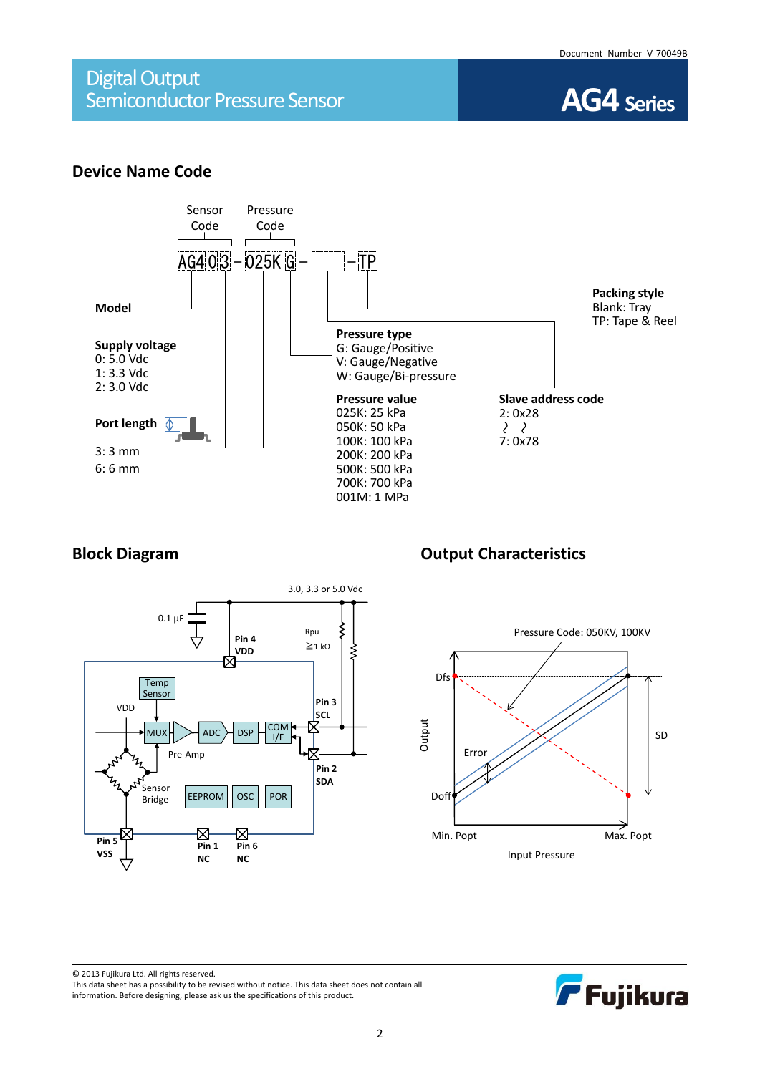

### **Device Name Code**





### **Block Diagram Diagram Output Characteristics**



F Fujikura

© 2013 Fujikura Ltd. All rights reserved. This data sheet has a possibility to be revised without notice. This data sheet does not contain all information. Before designing, please ask us the specifications of this product.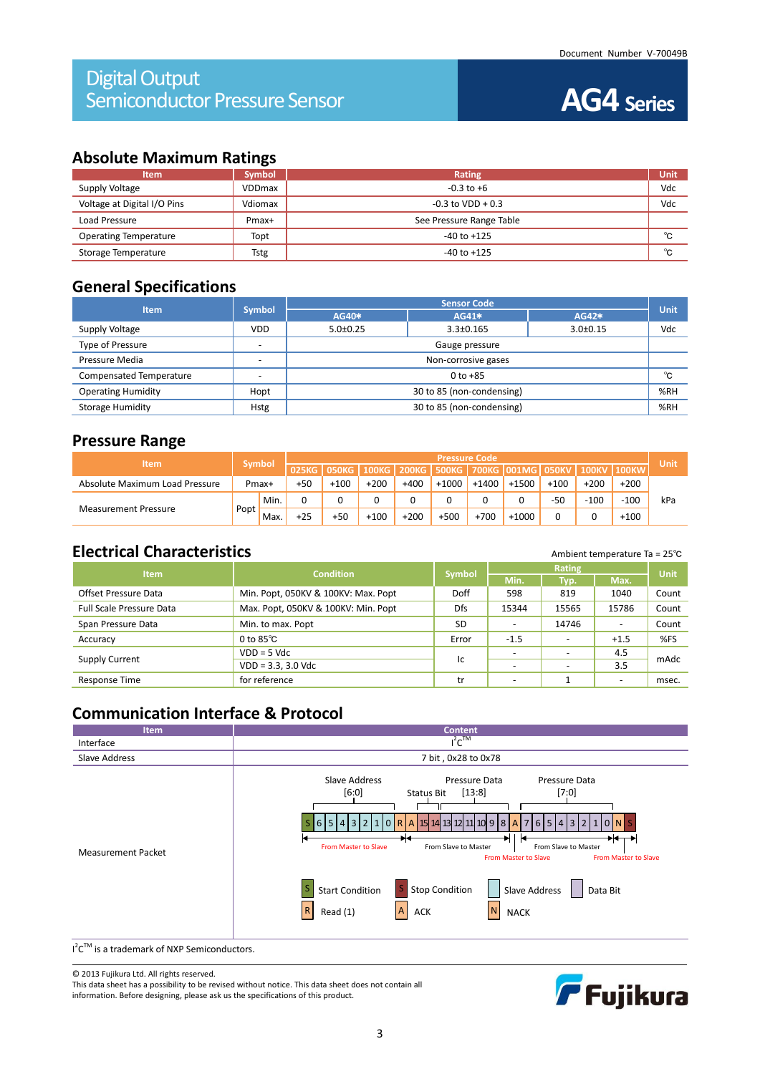### **Absolute Maximum Ratings**

| <b>Item</b>                  | <b>Symbol</b> | Rating                   | Unit |
|------------------------------|---------------|--------------------------|------|
| Supply Voltage               | <b>VDDmax</b> | $-0.3$ to $+6$           | Vdc  |
| Voltage at Digital I/O Pins  | Vdiomax       | $-0.3$ to VDD + 0.3      | Vdc  |
| Load Pressure                | Pmax+         | See Pressure Range Table |      |
| <b>Operating Temperature</b> | Topt          | $-40$ to $+125$          | ℃    |
| Storage Temperature          | <b>Tstg</b>   | $-40$ to $+125$          | °C   |

## **General Specifications**

| <b>Item</b>               | Symbol                   | <b>Sensor Code</b>        |                 |                |      |  |  |  |
|---------------------------|--------------------------|---------------------------|-----------------|----------------|------|--|--|--|
|                           |                          | AG40*                     | AG41*           | AG42*          | Unit |  |  |  |
| Supply Voltage            | <b>VDD</b>               | $5.0 \pm 0.25$            | $3.3 \pm 0.165$ | $3.0 \pm 0.15$ | Vdc  |  |  |  |
| Type of Pressure          | -                        | Gauge pressure            |                 |                |      |  |  |  |
| Pressure Media            | $\overline{\phantom{0}}$ | Non-corrosive gases       |                 |                |      |  |  |  |
| Compensated Temperature   |                          | $0$ to $+85$              |                 |                |      |  |  |  |
| <b>Operating Humidity</b> | Hopt                     | 30 to 85 (non-condensing) |                 |                |      |  |  |  |
| <b>Storage Humidity</b>   | <b>Hstg</b>              | 30 to 85 (non-condensing) |                 |                |      |  |  |  |

#### **Pressure Range**

| <b>Item</b>                    |       |               | <b>Pressure Code</b> |        |        |         |              |         |                       |        |              |        |      |
|--------------------------------|-------|---------------|----------------------|--------|--------|---------|--------------|---------|-----------------------|--------|--------------|--------|------|
|                                |       | <b>Symbol</b> | 025KG                | 050KG  | 100KG  | 200KG I | <b>500KG</b> |         | 700KG   001MG   050KV |        | <b>100KV</b> |        | Unit |
| Absolute Maximum Load Pressure | Pmax+ |               | +50                  | $+100$ | $+200$ | $+400$  | $+1000$      | $+1400$ | $+1500$               | $+100$ | $+200$       | $+200$ |      |
|                                | Popt  | Min.          | 0                    |        |        |         |              | 0       |                       | $-50$  | $-100$       | $-100$ | kPa  |
| <b>Measurement Pressure</b>    |       | Max.          | $+25$                | +50    | $+100$ | $+200$  | $+500$       | $+700$  | $+1000$               |        |              | $+100$ |      |

# **Electrical Characteristics** Ambient temperature Ta = 25<sup>℃</sup>

| <b>Item</b>                     | <b>Condition</b>                    | Symbol     |                          | <b>Unit</b> |                          |       |
|---------------------------------|-------------------------------------|------------|--------------------------|-------------|--------------------------|-------|
|                                 |                                     |            | Min.                     | Typ.        | Max.                     |       |
| Offset Pressure Data            | Min. Popt, 050KV & 100KV: Max. Popt | Doff       | 598                      | 819         | 1040                     | Count |
| <b>Full Scale Pressure Data</b> | Max. Popt, 050KV & 100KV: Min. Popt | <b>Dfs</b> | 15344                    | 15565       | 15786                    | Count |
| Span Pressure Data              | Min. to max. Popt                   | SD         | $\overline{\phantom{a}}$ | 14746       | $\overline{\phantom{a}}$ | Count |
| Accuracy                        | 0 to $85^{\circ}$ C                 | Error      | $-1.5$                   |             | $+1.5$                   | %FS   |
|                                 | $VDD = 5$ Vdc                       |            | $\sim$                   | -           | 4.5                      |       |
| Supply Current                  | $VDD = 3.3, 3.0 \text{ Vdc}$        | Iс         | $\overline{\phantom{a}}$ |             | 3.5                      | mAdc  |
| Response Time                   | for reference                       | tr         | $\overline{\phantom{a}}$ |             | $\overline{\phantom{0}}$ | msec. |

# **Communication Interface & Protocol**



© 2013 Fujikura Ltd. All rights reserved.

This data sheet has a possibility to be revised without notice. This data sheet does not contain all information. Before designing, please ask us the specifications of this product.